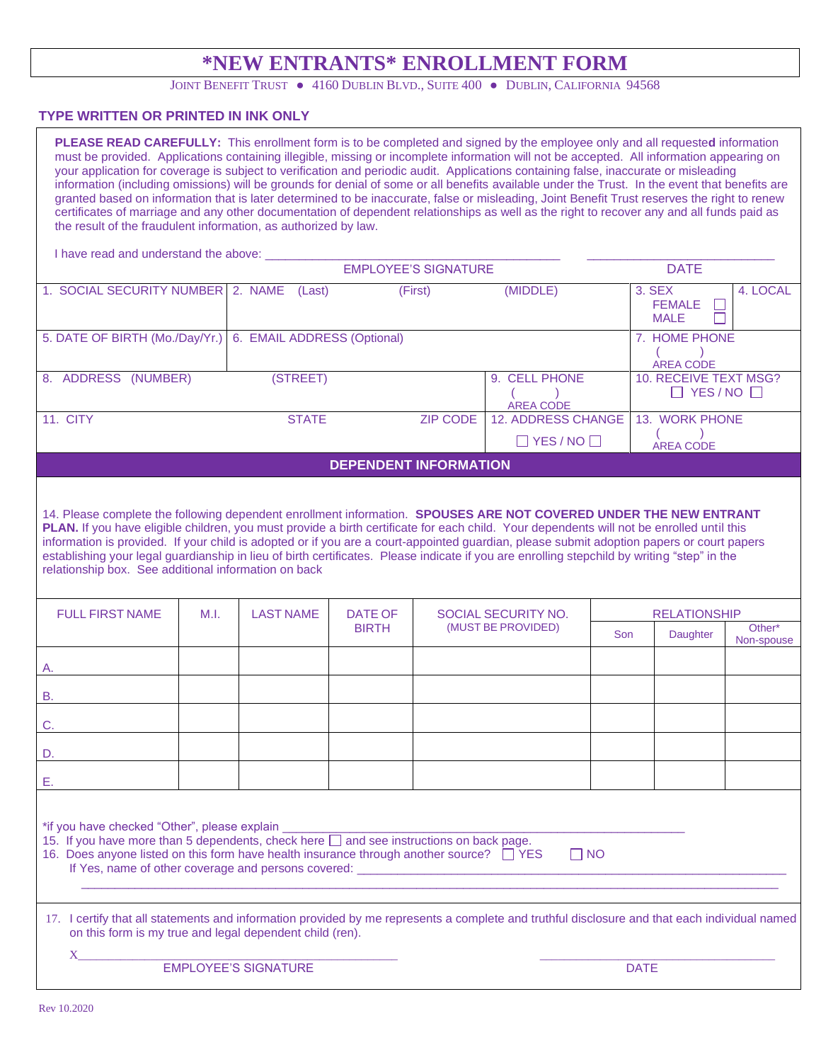## **\*NEW ENTRANTS\* ENROLLMENT FORM**

JOINT BENEFIT TRUST . 4160 DUBLIN BLVD., SUITE 400 . DUBLIN, CALIFORNIA 94568

## **TYPE WRITTEN OR PRINTED IN INK ONLY**

**PLEASE READ CAREFULLY:** This enrollment form is to be completed and signed by the employee only and all requeste**d** information must be provided. Applications containing illegible, missing or incomplete information will not be accepted. All information appearing on your application for coverage is subject to verification and periodic audit. Applications containing false, inaccurate or misleading information (including omissions) will be grounds for denial of some or all benefits available under the Trust. In the event that benefits are granted based on information that is later determined to be inaccurate, false or misleading, Joint Benefit Trust reserves the right to renew certificates of marriage and any other documentation of dependent relationships as well as the right to recover any and all funds paid as the result of the fraudulent information, as authorized by law. I have read and understand the above: EMPLOYEE'S SIGNATURE DATE 1. SOCIAL SECURITY NUMBER 2. NAME (Last) (First) (MIDDLE) 3. SEX 4. LOCAL FEMALE  $\Box$  MALE 5. DATE OF BIRTH (Mo./Day/Yr.) 6. EMAIL ADDRESS (Optional) 7. HOME PHONE  $($  ) AREA CODE 8. ADDRESS (NUMBER) (STREET) 9. CELL PHONE 10. RECEIVE TEXT MSG?  $\Box$  YES / NO  $\Box$  $($  AREA CODE 11. CITY CONTROLLER STATE STATE STATE STATE STATE AND ACCOUNT AND ACCOUNT AND STATE STATE STATE STATE STATE STATE STATE STATE STATE STATE STATE STATE STATE STATE STATE STATE STATE STATE STATE STATE STATE STATE STATE STATE 13. WORK PHONE  $($  $\Box$  YES / NO  $\Box$  AREA CODE **DEPENDENT INFORMATION**  14. Please complete the following dependent enrollment information. **SPOUSES ARE NOT COVERED UNDER THE NEW ENTRANT PLAN.** If you have eligible children, you must provide a birth certificate for each child. Your dependents will not be enrolled until this information is provided. If your child is adopted or if you are a court-appointed guardian, please submit adoption papers or court papers establishing your legal guardianship in lieu of birth certificates. Please indicate if you are enrolling stepchild by writing "step" in the relationship box. See additional information on back FULL FIRST NAME M.I. LAST NAME DATE OF SOCIAL SECURITY NO. **RELATIONSHIP** BIRTH (MUST BE PROVIDED) Son Daughter Other\* Non-spouse A. B. C. D. E. \*if you have checked "Other", please explain \_

15. If you have more than 5 dependents, check here  $\Box$  and see instructions on back page.

|  |  | 16. Does anyone listed on this form have health insurance through another source? THES |  | $\Box$ NO |
|--|--|----------------------------------------------------------------------------------------|--|-----------|
|  |  |                                                                                        |  |           |

If Yes, name of other coverage and persons covered: \_\_\_\_\_\_\_\_\_\_\_\_\_\_\_\_\_\_\_\_\_\_\_\_\_\_\_\_  $\frac{1}{2}$  ,  $\frac{1}{2}$  ,  $\frac{1}{2}$  ,  $\frac{1}{2}$  ,  $\frac{1}{2}$  ,  $\frac{1}{2}$  ,  $\frac{1}{2}$  ,  $\frac{1}{2}$  ,  $\frac{1}{2}$  ,  $\frac{1}{2}$  ,  $\frac{1}{2}$  ,  $\frac{1}{2}$  ,  $\frac{1}{2}$  ,  $\frac{1}{2}$  ,  $\frac{1}{2}$  ,  $\frac{1}{2}$  ,  $\frac{1}{2}$  ,  $\frac{1}{2}$  ,  $\frac{1$ 

| 17. I certify that all statements and information provided by me represents a complete and truthful disclosure and that each individual named |  |
|-----------------------------------------------------------------------------------------------------------------------------------------------|--|
| on this form is my true and legal dependent child (ren).                                                                                      |  |

 $X_\perp$  , and the set of the set of the set of the set of the set of the set of the set of the set of the set of the set of the set of the set of the set of the set of the set of the set of the set of the set of the set of EMPLOYEE'S SIGNATURE DATE